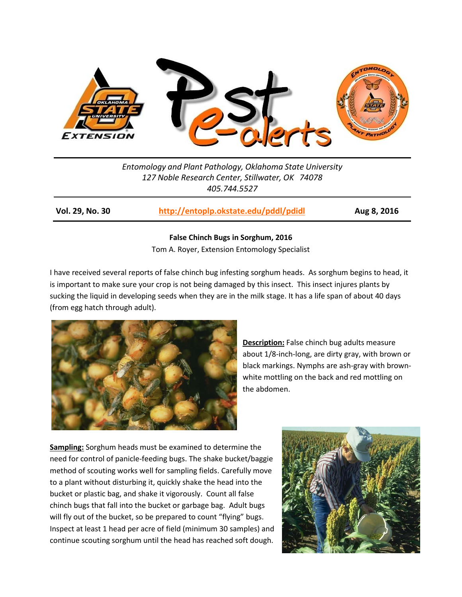

*Entomology and Plant Pathology, Oklahoma State University 127 Noble Research Center, Stillwater, OK 74078 405.744.5527*

**Vol. 29, No. 30 <http://entoplp.okstate.edu/pddl/pdidl> Aug 8, 2016**

## **False Chinch Bugs in Sorghum, 2016**

Tom A. Royer, Extension Entomology Specialist

I have received several reports of false chinch bug infesting sorghum heads. As sorghum begins to head, it is important to make sure your crop is not being damaged by this insect. This insect injures plants by sucking the liquid in developing seeds when they are in the milk stage. It has a life span of about 40 days (from egg hatch through adult).



**Description:** False chinch bug adults measure about 1/8-inch-long, are dirty gray, with brown or black markings. Nymphs are ash-gray with brownwhite mottling on the back and red mottling on the abdomen.

**Sampling:** Sorghum heads must be examined to determine the need for control of panicle-feeding bugs. The shake bucket/baggie method of scouting works well for sampling fields. Carefully move to a plant without disturbing it, quickly shake the head into the bucket or plastic bag, and shake it vigorously. Count all false chinch bugs that fall into the bucket or garbage bag. Adult bugs will fly out of the bucket, so be prepared to count "flying" bugs. Inspect at least 1 head per acre of field (minimum 30 samples) and continue scouting sorghum until the head has reached soft dough.